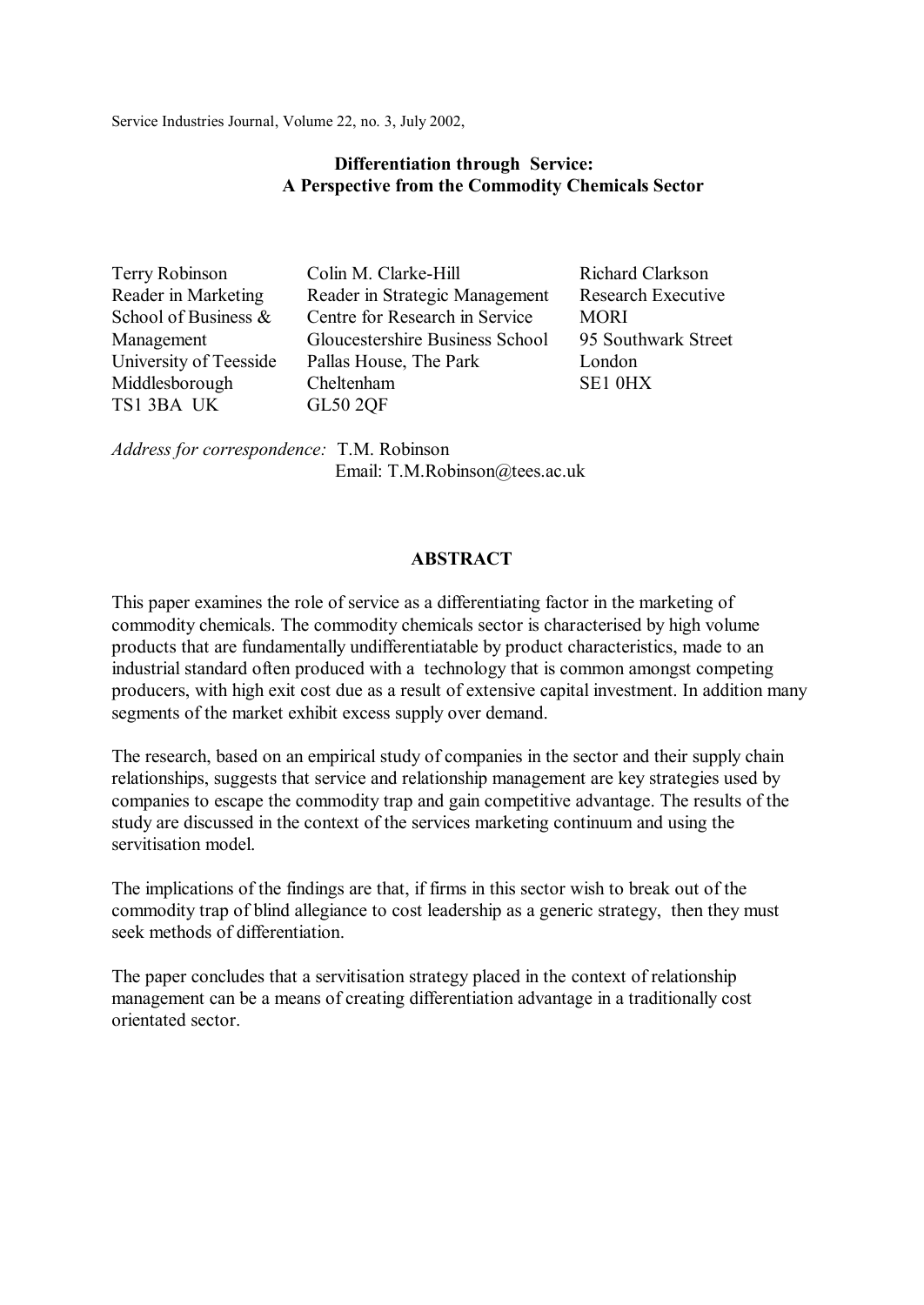Service Industries Journal, Volume 22, no. 3, July 2002,

## **Differentiation through Service: A Perspective from the Commodity Chemicals Sector**

Reader in Marketing School of Business & Management University of Teesside Middlesborough TS1 3BA UK

Terry Robinson Colin M. Clarke-Hill Richard Clarkson Reader in Strategic Management Centre for Research in Service Gloucestershire Business School Pallas House, The Park Cheltenham GL50 2QF

Research Executive **MORI** 95 Southwark Street London SE1 0HX

*Address for correspondence:* T.M. Robinson Email: T.M.Robinson@tees.ac.uk

#### **ABSTRACT**

This paper examines the role of service as a differentiating factor in the marketing of commodity chemicals. The commodity chemicals sector is characterised by high volume products that are fundamentally undifferentiatable by product characteristics, made to an industrial standard often produced with a technology that is common amongst competing producers, with high exit cost due as a result of extensive capital investment. In addition many segments of the market exhibit excess supply over demand.

The research, based on an empirical study of companies in the sector and their supply chain relationships, suggests that service and relationship management are key strategies used by companies to escape the commodity trap and gain competitive advantage. The results of the study are discussed in the context of the services marketing continuum and using the servitisation model.

The implications of the findings are that, if firms in this sector wish to break out of the commodity trap of blind allegiance to cost leadership as a generic strategy, then they must seek methods of differentiation.

The paper concludes that a servitisation strategy placed in the context of relationship management can be a means of creating differentiation advantage in a traditionally cost orientated sector.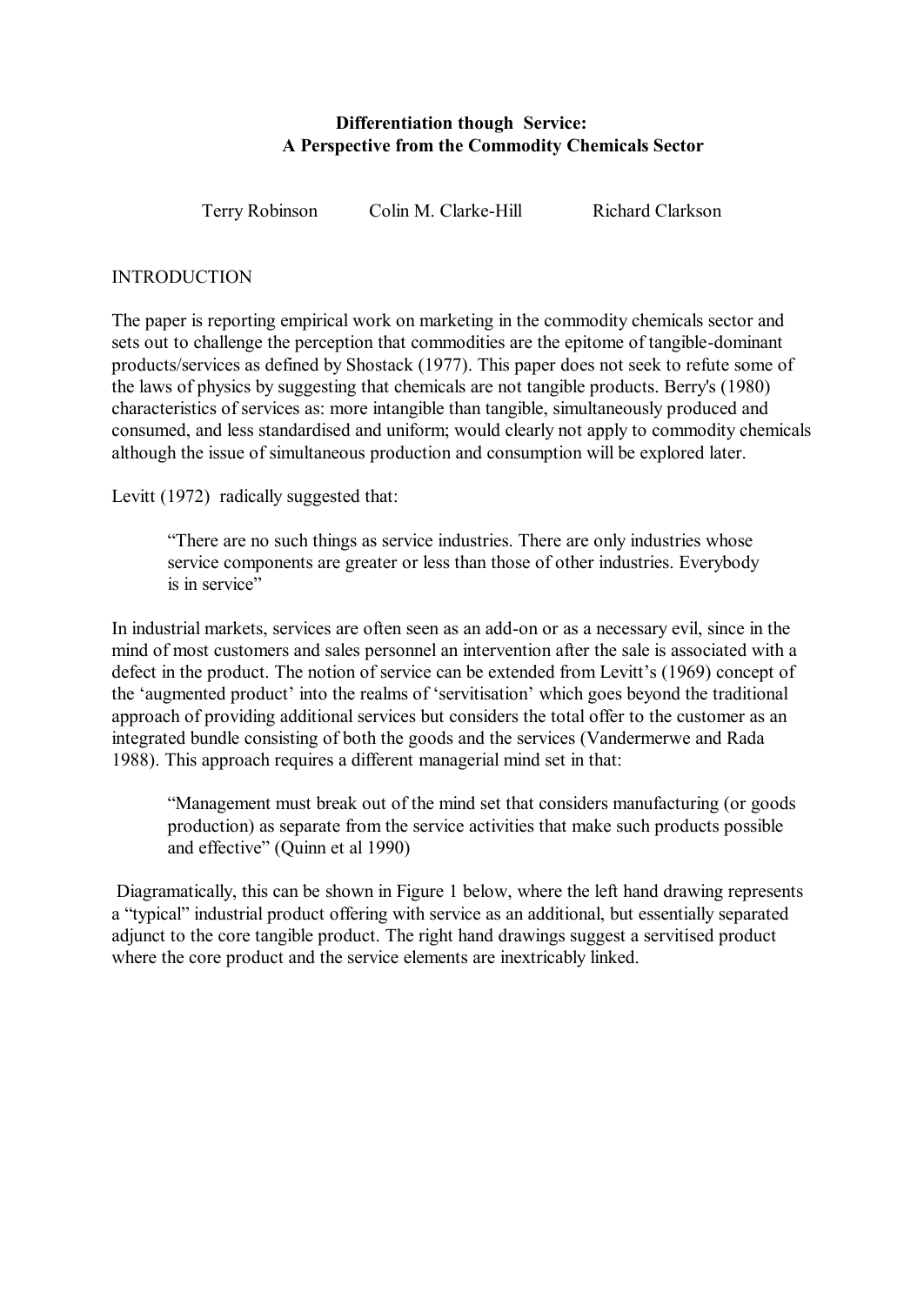## **Differentiation though Service: A Perspective from the Commodity Chemicals Sector**

Terry Robinson Colin M. Clarke-Hill Richard Clarkson

## INTRODUCTION

The paper is reporting empirical work on marketing in the commodity chemicals sector and sets out to challenge the perception that commodities are the epitome of tangible-dominant products/services as defined by Shostack (1977). This paper does not seek to refute some of the laws of physics by suggesting that chemicals are not tangible products. Berry's (1980) characteristics of services as: more intangible than tangible, simultaneously produced and consumed, and less standardised and uniform; would clearly not apply to commodity chemicals although the issue of simultaneous production and consumption will be explored later.

Levitt (1972) radically suggested that:

"There are no such things as service industries. There are only industries whose service components are greater or less than those of other industries. Everybody is in service"

In industrial markets, services are often seen as an add-on or as a necessary evil, since in the mind of most customers and sales personnel an intervention after the sale is associated with a defect in the product. The notion of service can be extended from Levitt's (1969) concept of the "augmented product" into the realms of "servitisation" which goes beyond the traditional approach of providing additional services but considers the total offer to the customer as an integrated bundle consisting of both the goods and the services (Vandermerwe and Rada 1988). This approach requires a different managerial mind set in that:

"Management must break out of the mind set that considers manufacturing (or goods production) as separate from the service activities that make such products possible and effective" (Quinn et al 1990)

Diagramatically, this can be shown in Figure 1 below, where the left hand drawing represents a "typical" industrial product offering with service as an additional, but essentially separated adjunct to the core tangible product. The right hand drawings suggest a servitised product where the core product and the service elements are inextricably linked.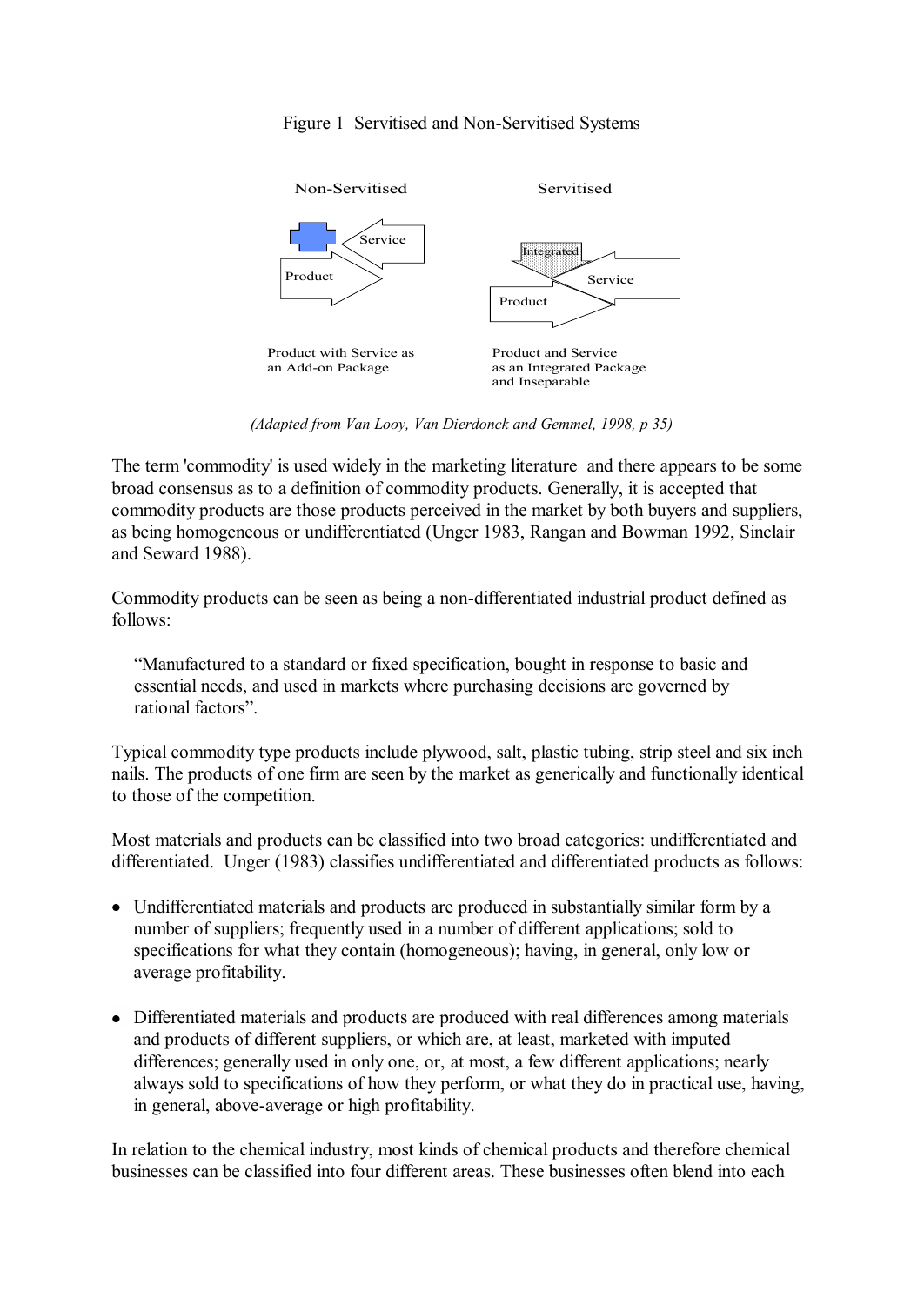## Figure 1 Servitised and Non-Servitised Systems



*(Adapted from Van Looy, Van Dierdonck and Gemmel, 1998, p 35)*

The term 'commodity' is used widely in the marketing literature and there appears to be some broad consensus as to a definition of commodity products. Generally, it is accepted that commodity products are those products perceived in the market by both buyers and suppliers, as being homogeneous or undifferentiated (Unger 1983, Rangan and Bowman 1992, Sinclair and Seward 1988).

Commodity products can be seen as being a non-differentiated industrial product defined as follows:

"Manufactured to a standard or fixed specification, bought in response to basic and essential needs, and used in markets where purchasing decisions are governed by rational factors".

Typical commodity type products include plywood, salt, plastic tubing, strip steel and six inch nails. The products of one firm are seen by the market as generically and functionally identical to those of the competition.

Most materials and products can be classified into two broad categories: undifferentiated and differentiated. Unger (1983) classifies undifferentiated and differentiated products as follows:

- Undifferentiated materials and products are produced in substantially similar form by a number of suppliers; frequently used in a number of different applications; sold to specifications for what they contain (homogeneous); having, in general, only low or average profitability.
- Differentiated materials and products are produced with real differences among materials and products of different suppliers, or which are, at least, marketed with imputed differences; generally used in only one, or, at most, a few different applications; nearly always sold to specifications of how they perform, or what they do in practical use, having, in general, above-average or high profitability.

In relation to the chemical industry, most kinds of chemical products and therefore chemical businesses can be classified into four different areas. These businesses often blend into each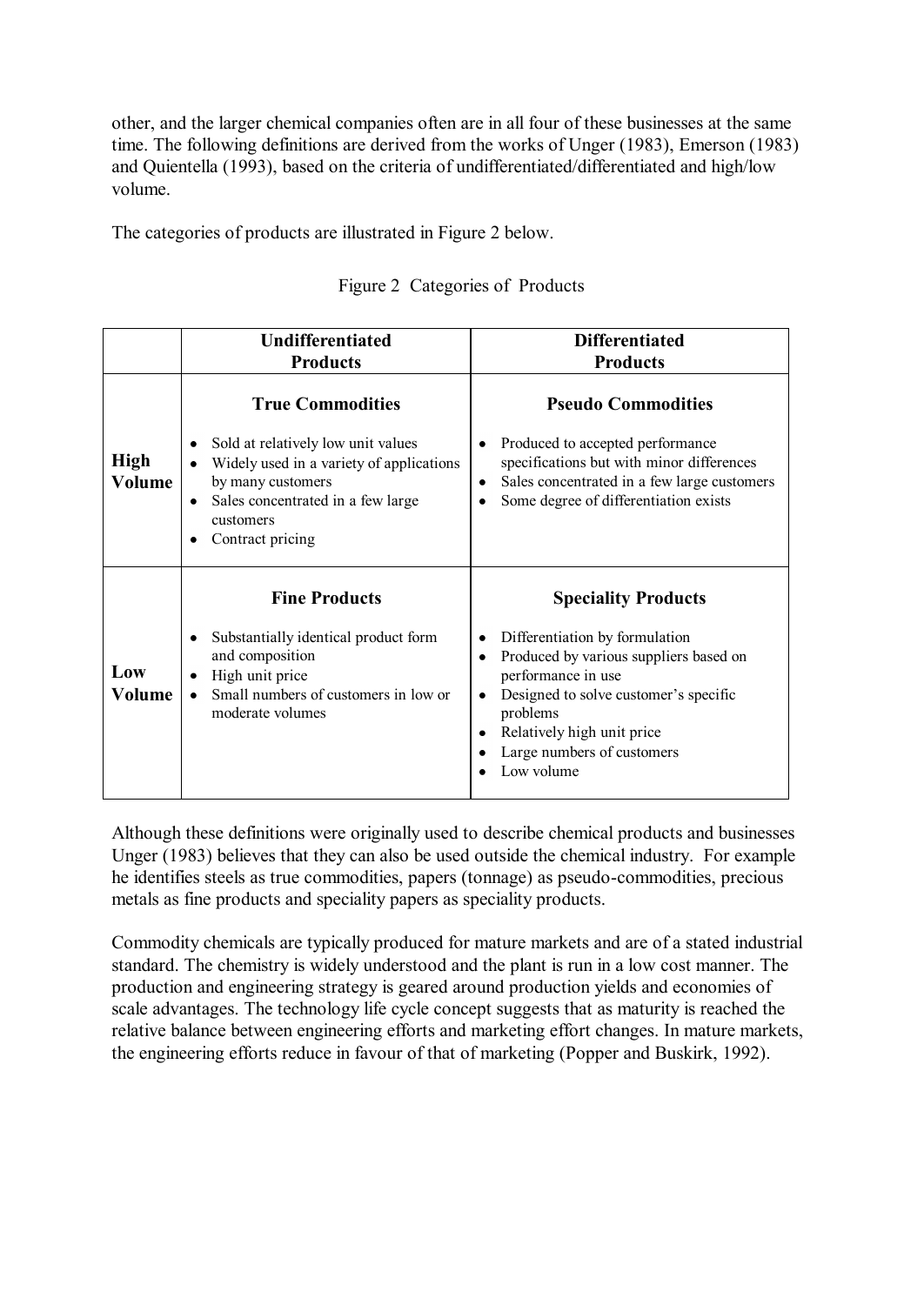other, and the larger chemical companies often are in all four of these businesses at the same time. The following definitions are derived from the works of Unger (1983), Emerson (1983) and Quientella (1993), based on the criteria of undifferentiated/differentiated and high/low volume.

The categories of products are illustrated in Figure 2 below.

|                | <b>Undifferentiated</b><br><b>Products</b>                                                                                                                                                                                  | <b>Differentiated</b><br><b>Products</b>                                                                                                                                                                                                                         |  |  |
|----------------|-----------------------------------------------------------------------------------------------------------------------------------------------------------------------------------------------------------------------------|------------------------------------------------------------------------------------------------------------------------------------------------------------------------------------------------------------------------------------------------------------------|--|--|
| High<br>Volume | <b>True Commodities</b><br>Sold at relatively low unit values<br>٠<br>Widely used in a variety of applications<br>by many customers<br>Sales concentrated in a few large<br>$\bullet$<br>customers<br>Contract pricing<br>٠ | <b>Pseudo Commodities</b><br>Produced to accepted performance<br>specifications but with minor differences<br>Sales concentrated in a few large customers<br>٠<br>Some degree of differentiation exists                                                          |  |  |
| Low<br>Volume  | <b>Fine Products</b><br>Substantially identical product form<br>٠<br>and composition<br>High unit price<br>Small numbers of customers in low or<br>moderate volumes                                                         | <b>Speciality Products</b><br>Differentiation by formulation<br>Produced by various suppliers based on<br>٠<br>performance in use<br>Designed to solve customer's specific<br>problems<br>Relatively high unit price<br>Large numbers of customers<br>Low volume |  |  |

| Figure 2 Categories of Products |  |
|---------------------------------|--|

Although these definitions were originally used to describe chemical products and businesses Unger (1983) believes that they can also be used outside the chemical industry. For example he identifies steels as true commodities, papers (tonnage) as pseudo-commodities, precious metals as fine products and speciality papers as speciality products.

Commodity chemicals are typically produced for mature markets and are of a stated industrial standard. The chemistry is widely understood and the plant is run in a low cost manner. The production and engineering strategy is geared around production yields and economies of scale advantages. The technology life cycle concept suggests that as maturity is reached the relative balance between engineering efforts and marketing effort changes. In mature markets, the engineering efforts reduce in favour of that of marketing (Popper and Buskirk, 1992).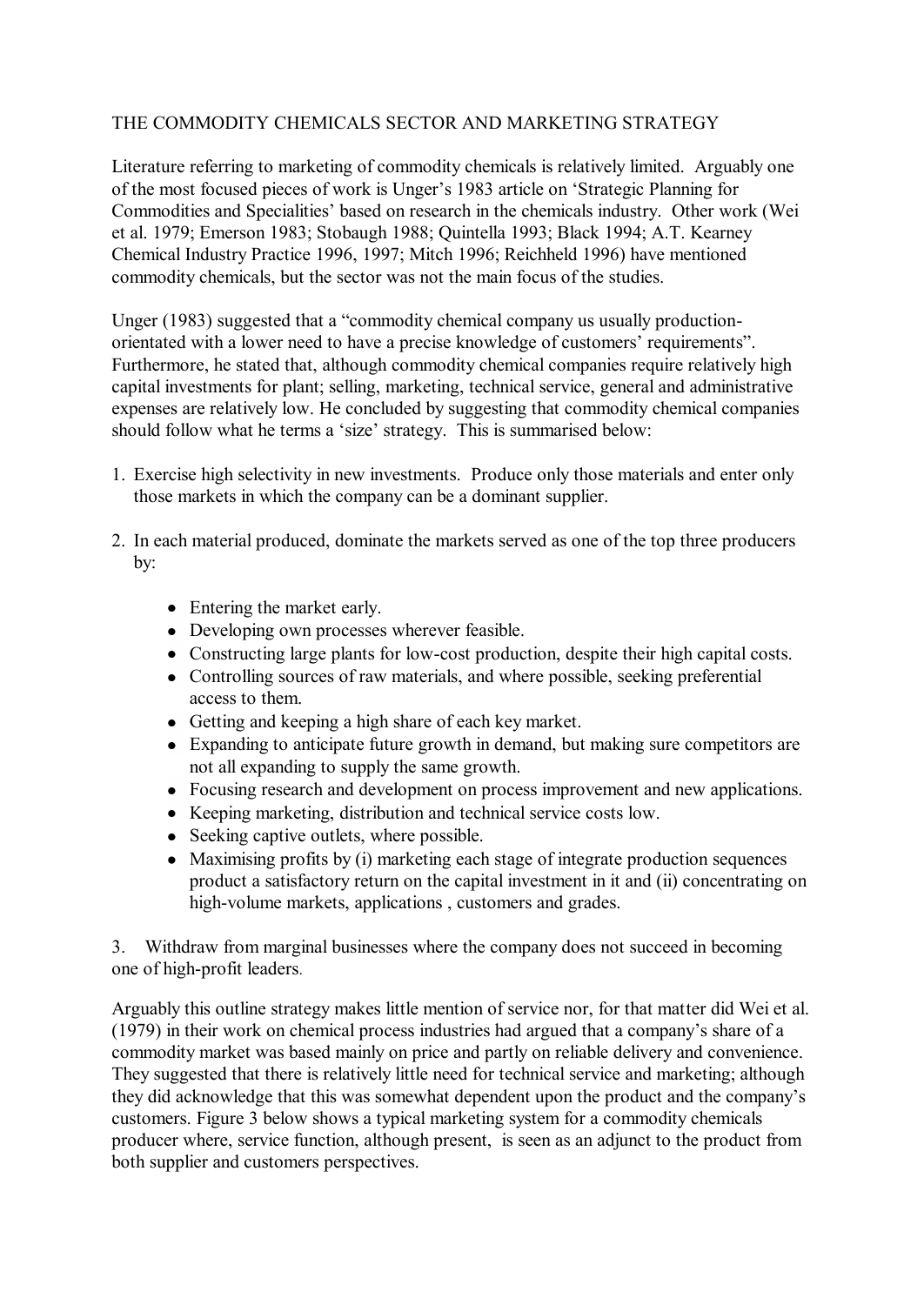# THE COMMODITY CHEMICALS SECTOR AND MARKETING STRATEGY

Literature referring to marketing of commodity chemicals is relatively limited. Arguably one of the most focused pieces of work is Unger"s 1983 article on "Strategic Planning for Commodities and Specialities" based on research in the chemicals industry. Other work (Wei et al. 1979; Emerson 1983; Stobaugh 1988; Quintella 1993; Black 1994; A.T. Kearney Chemical Industry Practice 1996, 1997; Mitch 1996; Reichheld 1996) have mentioned commodity chemicals, but the sector was not the main focus of the studies.

Unger (1983) suggested that a "commodity chemical company us usually productionorientated with a lower need to have a precise knowledge of customers" requirements". Furthermore, he stated that, although commodity chemical companies require relatively high capital investments for plant; selling, marketing, technical service, general and administrative expenses are relatively low. He concluded by suggesting that commodity chemical companies should follow what he terms a "size" strategy. This is summarised below:

- 1. Exercise high selectivity in new investments. Produce only those materials and enter only those markets in which the company can be a dominant supplier.
- 2. In each material produced, dominate the markets served as one of the top three producers by:
	- Entering the market early.
	- Developing own processes wherever feasible.
	- Constructing large plants for low-cost production, despite their high capital costs.
	- Controlling sources of raw materials, and where possible, seeking preferential access to them.
	- Getting and keeping a high share of each key market.
	- Expanding to anticipate future growth in demand, but making sure competitors are not all expanding to supply the same growth.
	- Focusing research and development on process improvement and new applications.
	- Keeping marketing, distribution and technical service costs low.
	- Seeking captive outlets, where possible.
	- Maximising profits by (i) marketing each stage of integrate production sequences product a satisfactory return on the capital investment in it and (ii) concentrating on high-volume markets, applications , customers and grades.

3. Withdraw from marginal businesses where the company does not succeed in becoming one of high-profit leaders.

Arguably this outline strategy makes little mention of service nor, for that matter did Wei et al. (1979) in their work on chemical process industries had argued that a company"s share of a commodity market was based mainly on price and partly on reliable delivery and convenience. They suggested that there is relatively little need for technical service and marketing; although they did acknowledge that this was somewhat dependent upon the product and the company"s customers. Figure 3 below shows a typical marketing system for a commodity chemicals producer where, service function, although present, is seen as an adjunct to the product from both supplier and customers perspectives.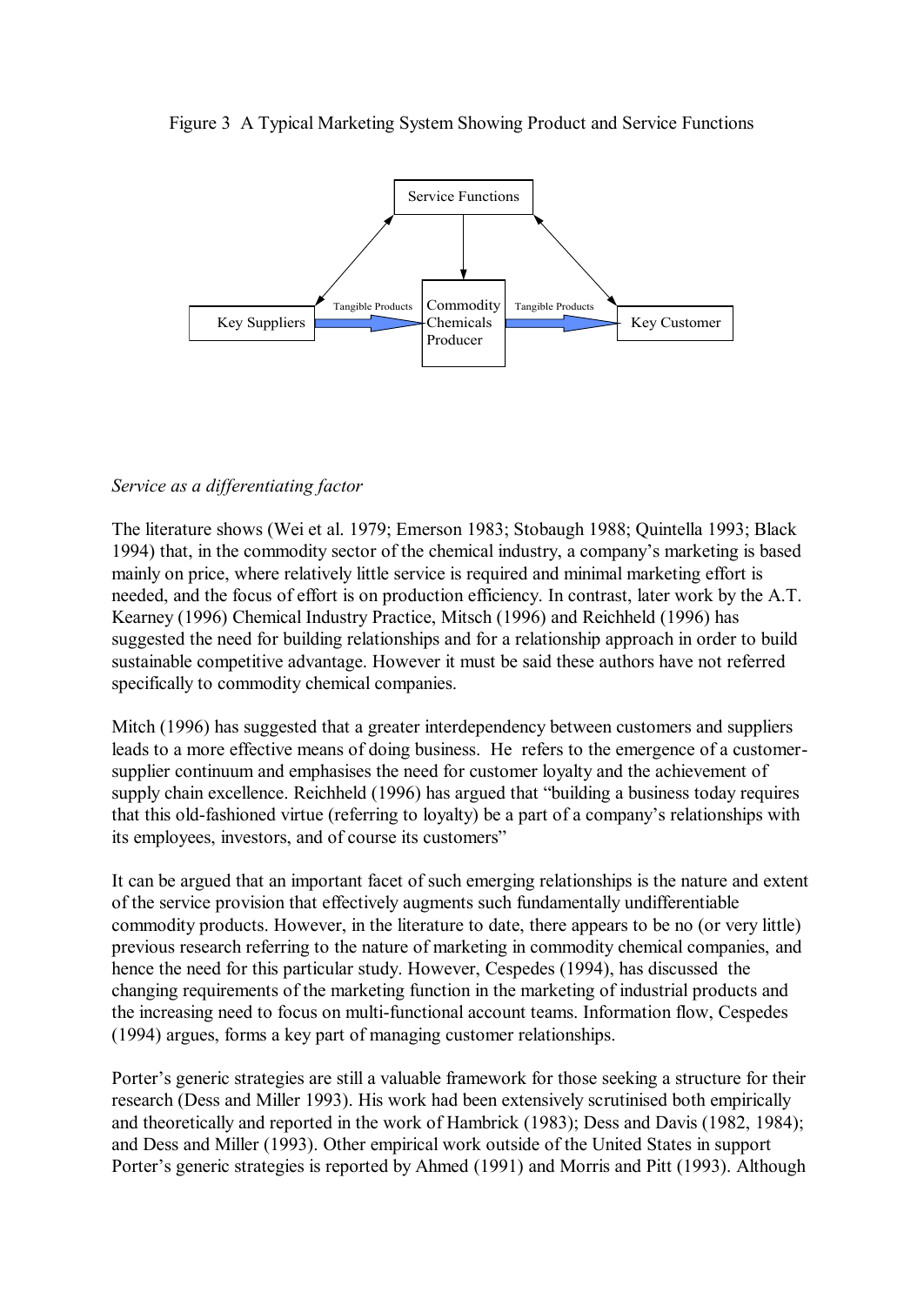### Figure 3 A Typical Marketing System Showing Product and Service Functions



## *Service as a differentiating factor*

The literature shows (Wei et al. 1979; Emerson 1983; Stobaugh 1988; Quintella 1993; Black 1994) that, in the commodity sector of the chemical industry, a company"s marketing is based mainly on price, where relatively little service is required and minimal marketing effort is needed, and the focus of effort is on production efficiency. In contrast, later work by the A.T. Kearney (1996) Chemical Industry Practice, Mitsch (1996) and Reichheld (1996) has suggested the need for building relationships and for a relationship approach in order to build sustainable competitive advantage. However it must be said these authors have not referred specifically to commodity chemical companies.

Mitch (1996) has suggested that a greater interdependency between customers and suppliers leads to a more effective means of doing business. He refers to the emergence of a customersupplier continuum and emphasises the need for customer loyalty and the achievement of supply chain excellence. Reichheld (1996) has argued that "building a business today requires that this old-fashioned virtue (referring to loyalty) be a part of a company"s relationships with its employees, investors, and of course its customers"

It can be argued that an important facet of such emerging relationships is the nature and extent of the service provision that effectively augments such fundamentally undifferentiable commodity products. However, in the literature to date, there appears to be no (or very little) previous research referring to the nature of marketing in commodity chemical companies, and hence the need for this particular study. However, Cespedes (1994), has discussed the changing requirements of the marketing function in the marketing of industrial products and the increasing need to focus on multi-functional account teams. Information flow, Cespedes (1994) argues, forms a key part of managing customer relationships.

Porter's generic strategies are still a valuable framework for those seeking a structure for their research (Dess and Miller 1993). His work had been extensively scrutinised both empirically and theoretically and reported in the work of Hambrick (1983); Dess and Davis (1982, 1984); and Dess and Miller (1993). Other empirical work outside of the United States in support Porter's generic strategies is reported by Ahmed (1991) and Morris and Pitt (1993). Although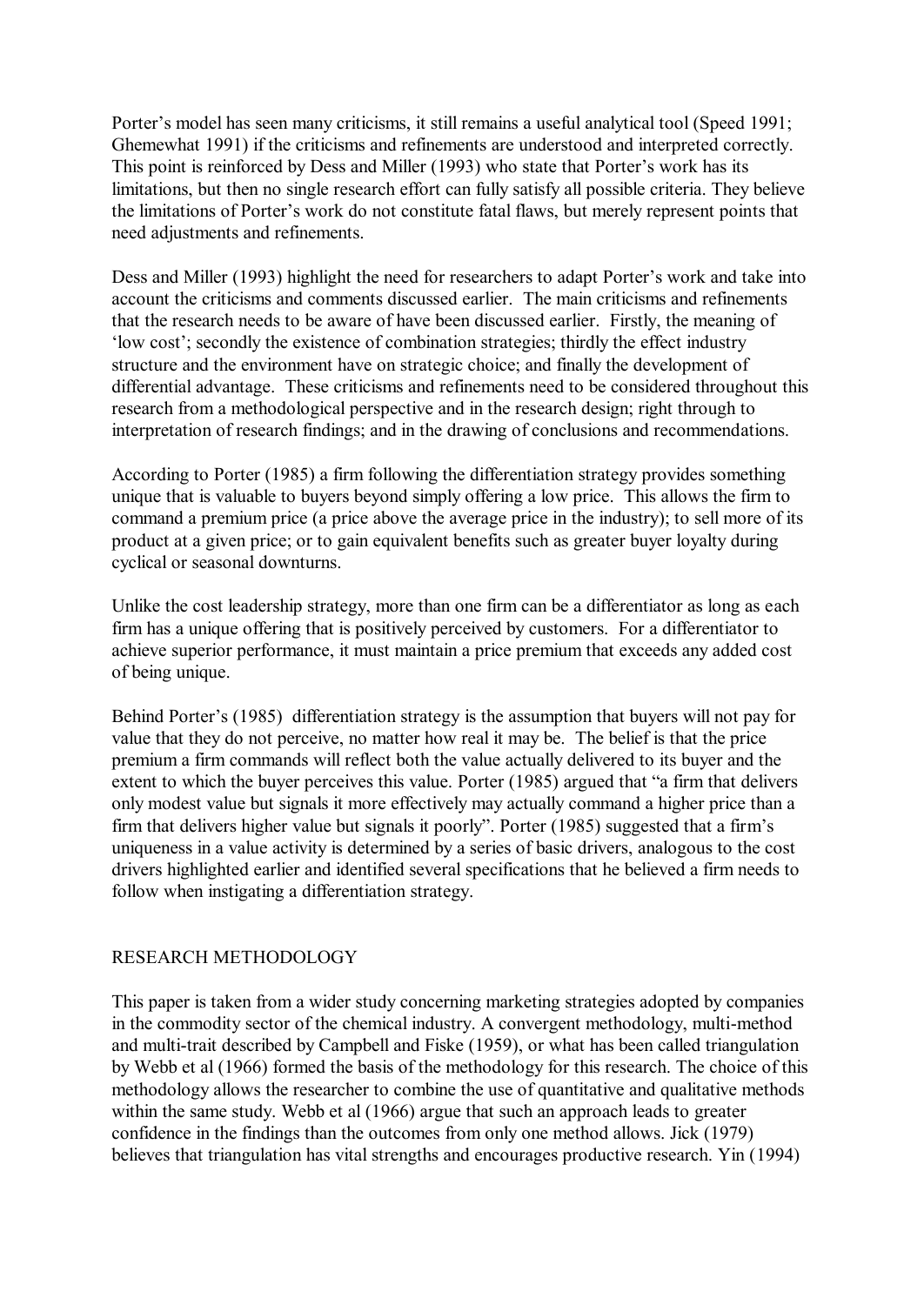Porter's model has seen many criticisms, it still remains a useful analytical tool (Speed 1991; Ghemewhat 1991) if the criticisms and refinements are understood and interpreted correctly. This point is reinforced by Dess and Miller (1993) who state that Porter"s work has its limitations, but then no single research effort can fully satisfy all possible criteria. They believe the limitations of Porter"s work do not constitute fatal flaws, but merely represent points that need adjustments and refinements.

Dess and Miller (1993) highlight the need for researchers to adapt Porter's work and take into account the criticisms and comments discussed earlier. The main criticisms and refinements that the research needs to be aware of have been discussed earlier. Firstly, the meaning of "low cost"; secondly the existence of combination strategies; thirdly the effect industry structure and the environment have on strategic choice; and finally the development of differential advantage. These criticisms and refinements need to be considered throughout this research from a methodological perspective and in the research design; right through to interpretation of research findings; and in the drawing of conclusions and recommendations.

According to Porter (1985) a firm following the differentiation strategy provides something unique that is valuable to buyers beyond simply offering a low price. This allows the firm to command a premium price (a price above the average price in the industry); to sell more of its product at a given price; or to gain equivalent benefits such as greater buyer loyalty during cyclical or seasonal downturns.

Unlike the cost leadership strategy, more than one firm can be a differentiator as long as each firm has a unique offering that is positively perceived by customers. For a differentiator to achieve superior performance, it must maintain a price premium that exceeds any added cost of being unique.

Behind Porter's (1985) differentiation strategy is the assumption that buyers will not pay for value that they do not perceive, no matter how real it may be. The belief is that the price premium a firm commands will reflect both the value actually delivered to its buyer and the extent to which the buyer perceives this value. Porter (1985) argued that "a firm that delivers only modest value but signals it more effectively may actually command a higher price than a firm that delivers higher value but signals it poorly". Porter (1985) suggested that a firm"s uniqueness in a value activity is determined by a series of basic drivers, analogous to the cost drivers highlighted earlier and identified several specifications that he believed a firm needs to follow when instigating a differentiation strategy.

#### RESEARCH METHODOLOGY

This paper is taken from a wider study concerning marketing strategies adopted by companies in the commodity sector of the chemical industry. A convergent methodology, multi-method and multi-trait described by Campbell and Fiske (1959), or what has been called triangulation by Webb et al (1966) formed the basis of the methodology for this research. The choice of this methodology allows the researcher to combine the use of quantitative and qualitative methods within the same study. Webb et al (1966) argue that such an approach leads to greater confidence in the findings than the outcomes from only one method allows. Jick (1979) believes that triangulation has vital strengths and encourages productive research. Yin (1994)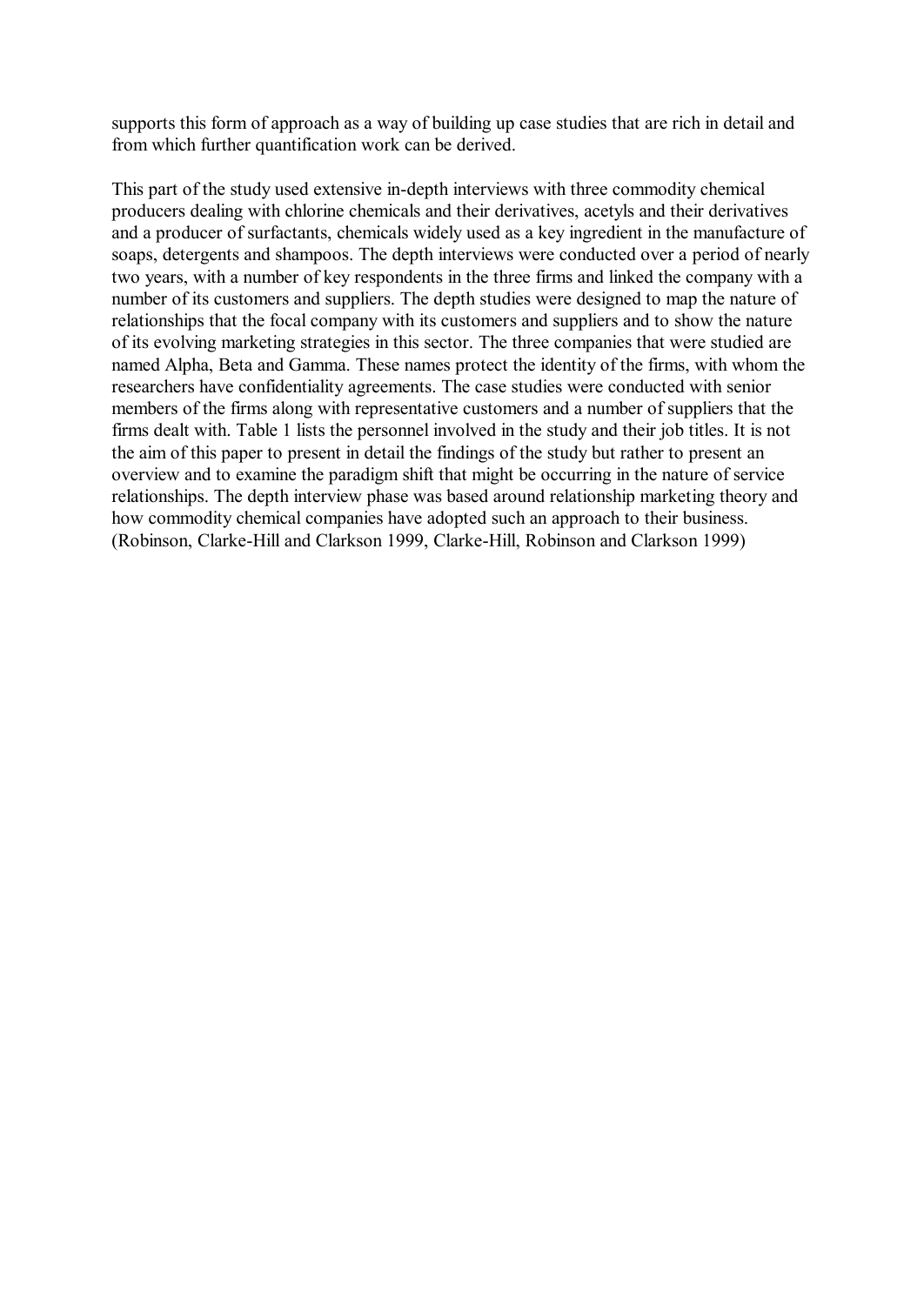supports this form of approach as a way of building up case studies that are rich in detail and from which further quantification work can be derived.

This part of the study used extensive in-depth interviews with three commodity chemical producers dealing with chlorine chemicals and their derivatives, acetyls and their derivatives and a producer of surfactants, chemicals widely used as a key ingredient in the manufacture of soaps, detergents and shampoos. The depth interviews were conducted over a period of nearly two years, with a number of key respondents in the three firms and linked the company with a number of its customers and suppliers. The depth studies were designed to map the nature of relationships that the focal company with its customers and suppliers and to show the nature of its evolving marketing strategies in this sector. The three companies that were studied are named Alpha, Beta and Gamma. These names protect the identity of the firms, with whom the researchers have confidentiality agreements. The case studies were conducted with senior members of the firms along with representative customers and a number of suppliers that the firms dealt with. Table 1 lists the personnel involved in the study and their job titles. It is not the aim of this paper to present in detail the findings of the study but rather to present an overview and to examine the paradigm shift that might be occurring in the nature of service relationships. The depth interview phase was based around relationship marketing theory and how commodity chemical companies have adopted such an approach to their business. (Robinson, Clarke-Hill and Clarkson 1999, Clarke-Hill, Robinson and Clarkson 1999)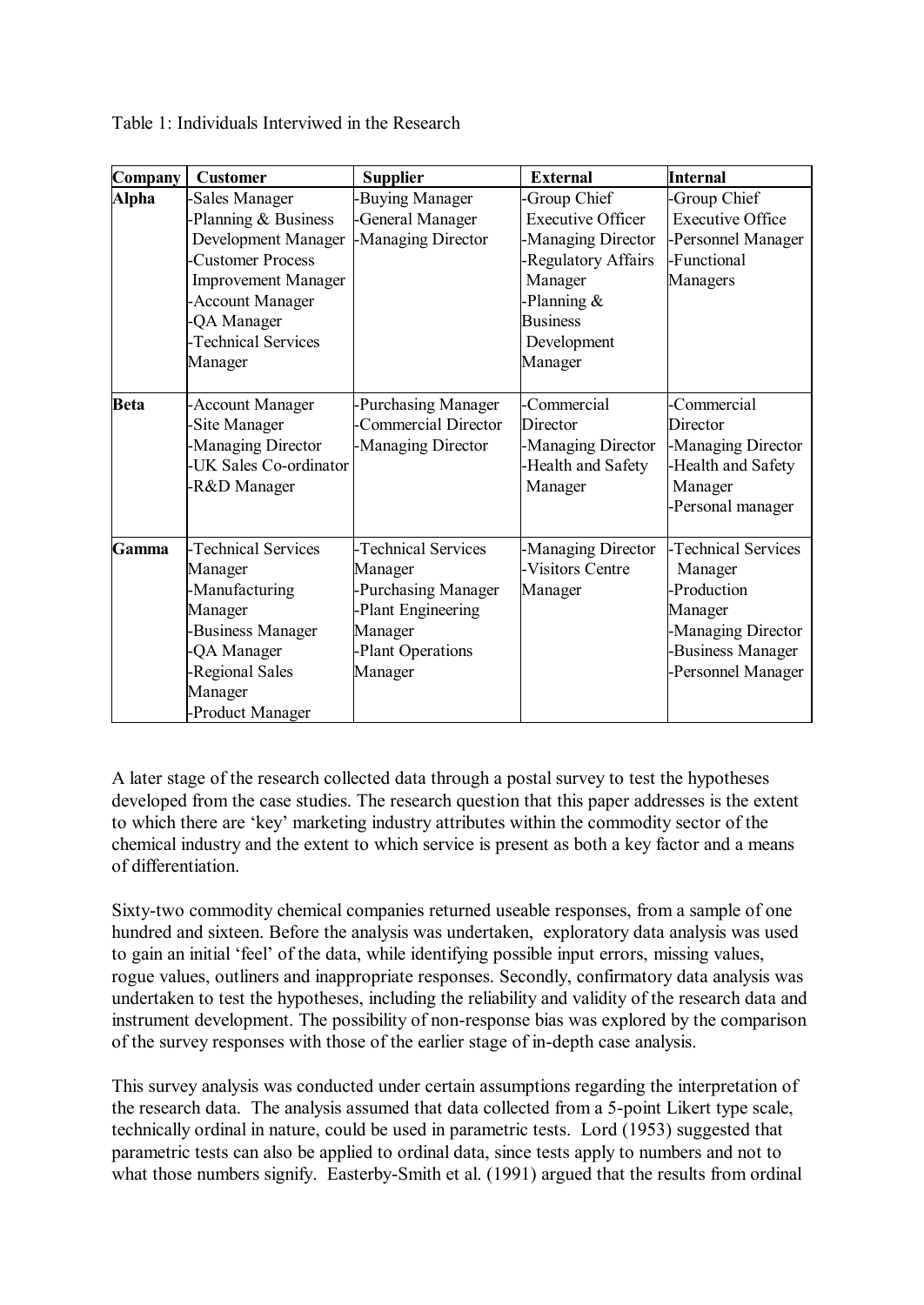| Company     | <b>Customer</b>                                                                                                                                                                    | <b>Supplier</b>                                                                                                              | <b>External</b>                                                                                                                                                | <b>Internal</b>                                                                                                           |
|-------------|------------------------------------------------------------------------------------------------------------------------------------------------------------------------------------|------------------------------------------------------------------------------------------------------------------------------|----------------------------------------------------------------------------------------------------------------------------------------------------------------|---------------------------------------------------------------------------------------------------------------------------|
| Alpha       | Sales Manager<br>Planning & Business<br>Development Manager<br>Customer Process<br><b>Improvement Manager</b><br>-Account Manager<br>-QA Manager<br>-Technical Services<br>Manager | <b>Buying Manager</b><br>General Manager<br>-Managing Director                                                               | Group Chief<br><b>Executive Officer</b><br>-Managing Director<br>-Regulatory Affairs<br>Manager<br>-Planning $\&$<br><b>Business</b><br>Development<br>Manager | -Group Chief<br><b>Executive Office</b><br>-Personnel Manager<br>-Functional<br>Managers                                  |
| <b>Beta</b> | -Account Manager<br>Site Manager<br><b>Managing Director</b><br>-UK Sales Co-ordinator<br>-R&D Manager                                                                             | <b>Purchasing Manager</b><br><b>Commercial Director</b><br>-Managing Director                                                | -Commercial<br>Director<br>-Managing Director<br>-Health and Safety<br>Manager                                                                                 | -Commercial<br>Director<br>-Managing Director<br>-Health and Safety<br>Manager<br>-Personal manager                       |
| Gamma       | -Technical Services<br>Manager<br>-Manufacturing<br>Manager<br>-Business Manager<br>-QA Manager<br><b>Regional Sales</b><br>Manager<br>-Product Manager                            | -Technical Services<br>Manager<br><b>Purchasing Manager</b><br>-Plant Engineering<br>Manager<br>-Plant Operations<br>Manager | -Managing Director<br>Visitors Centre<br>Manager                                                                                                               | -Technical Services<br>Manager<br>-Production<br>Manager<br>-Managing Director<br>-Business Manager<br>-Personnel Manager |

Table 1: Individuals Interviwed in the Research

A later stage of the research collected data through a postal survey to test the hypotheses developed from the case studies. The research question that this paper addresses is the extent to which there are "key" marketing industry attributes within the commodity sector of the chemical industry and the extent to which service is present as both a key factor and a means of differentiation.

Sixty-two commodity chemical companies returned useable responses, from a sample of one hundred and sixteen. Before the analysis was undertaken, exploratory data analysis was used to gain an initial "feel" of the data, while identifying possible input errors, missing values, rogue values, outliners and inappropriate responses. Secondly, confirmatory data analysis was undertaken to test the hypotheses, including the reliability and validity of the research data and instrument development. The possibility of non-response bias was explored by the comparison of the survey responses with those of the earlier stage of in-depth case analysis.

This survey analysis was conducted under certain assumptions regarding the interpretation of the research data. The analysis assumed that data collected from a 5-point Likert type scale, technically ordinal in nature, could be used in parametric tests. Lord (1953) suggested that parametric tests can also be applied to ordinal data, since tests apply to numbers and not to what those numbers signify. Easterby-Smith et al. (1991) argued that the results from ordinal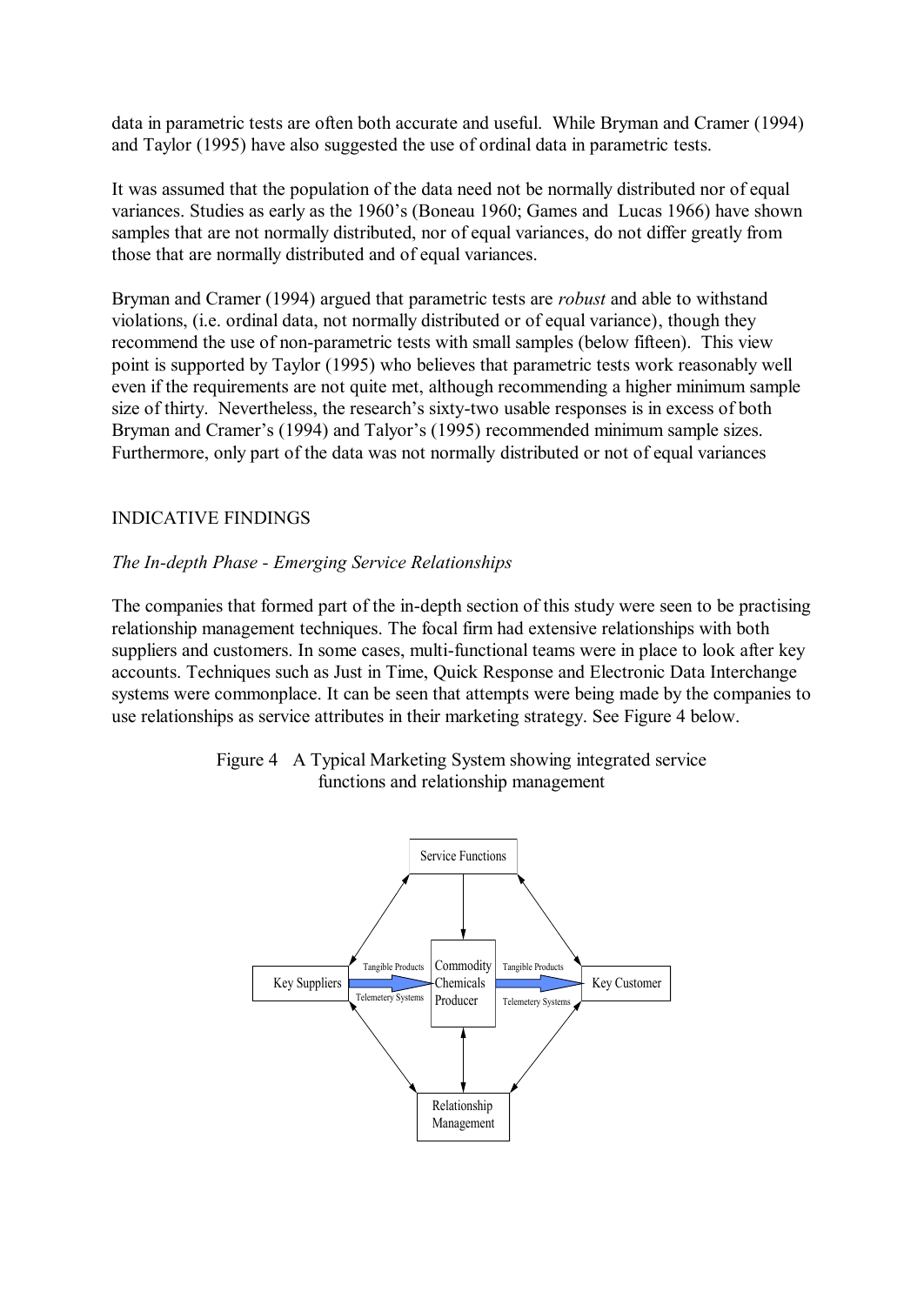data in parametric tests are often both accurate and useful. While Bryman and Cramer (1994) and Taylor (1995) have also suggested the use of ordinal data in parametric tests.

It was assumed that the population of the data need not be normally distributed nor of equal variances. Studies as early as the 1960"s (Boneau 1960; Games and Lucas 1966) have shown samples that are not normally distributed, nor of equal variances, do not differ greatly from those that are normally distributed and of equal variances.

Bryman and Cramer (1994) argued that parametric tests are *robust* and able to withstand violations, (i.e. ordinal data, not normally distributed or of equal variance), though they recommend the use of non-parametric tests with small samples (below fifteen). This view point is supported by Taylor (1995) who believes that parametric tests work reasonably well even if the requirements are not quite met, although recommending a higher minimum sample size of thirty. Nevertheless, the research's sixty-two usable responses is in excess of both Bryman and Cramer's (1994) and Talyor's (1995) recommended minimum sample sizes. Furthermore, only part of the data was not normally distributed or not of equal variances

## INDICATIVE FINDINGS

## *The In-depth Phase - Emerging Service Relationships*

The companies that formed part of the in-depth section of this study were seen to be practising relationship management techniques. The focal firm had extensive relationships with both suppliers and customers. In some cases, multi-functional teams were in place to look after key accounts. Techniques such as Just in Time, Quick Response and Electronic Data Interchange systems were commonplace. It can be seen that attempts were being made by the companies to use relationships as service attributes in their marketing strategy. See Figure 4 below.



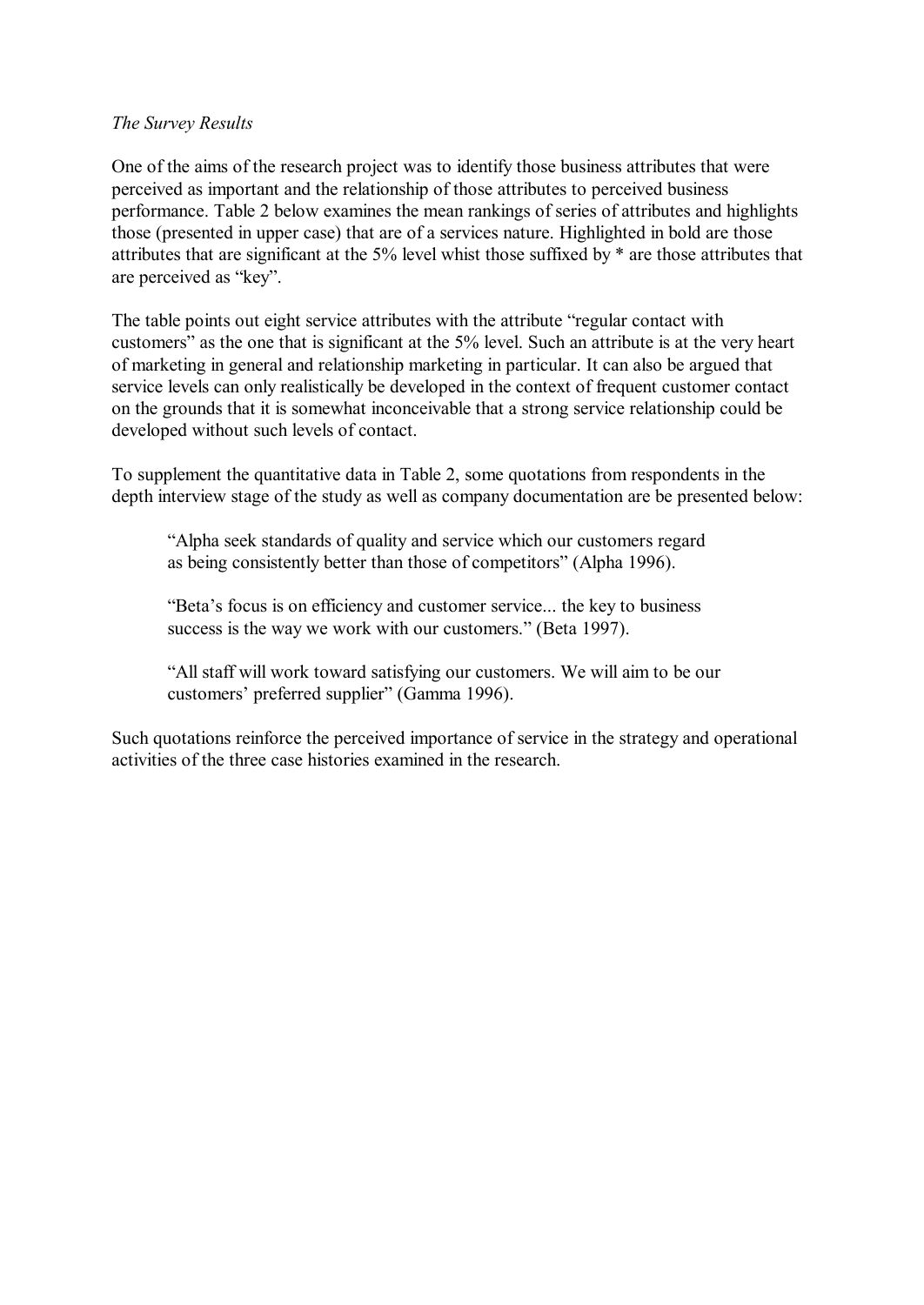### *The Survey Results*

One of the aims of the research project was to identify those business attributes that were perceived as important and the relationship of those attributes to perceived business performance. Table 2 below examines the mean rankings of series of attributes and highlights those (presented in upper case) that are of a services nature. Highlighted in bold are those attributes that are significant at the 5% level whist those suffixed by \* are those attributes that are perceived as "key".

The table points out eight service attributes with the attribute "regular contact with customers" as the one that is significant at the 5% level. Such an attribute is at the very heart of marketing in general and relationship marketing in particular. It can also be argued that service levels can only realistically be developed in the context of frequent customer contact on the grounds that it is somewhat inconceivable that a strong service relationship could be developed without such levels of contact.

To supplement the quantitative data in Table 2, some quotations from respondents in the depth interview stage of the study as well as company documentation are be presented below:

"Alpha seek standards of quality and service which our customers regard as being consistently better than those of competitors" (Alpha 1996).

"Beta's focus is on efficiency and customer service... the key to business success is the way we work with our customers." (Beta 1997).

"All staff will work toward satisfying our customers. We will aim to be our customers" preferred supplier" (Gamma 1996).

Such quotations reinforce the perceived importance of service in the strategy and operational activities of the three case histories examined in the research.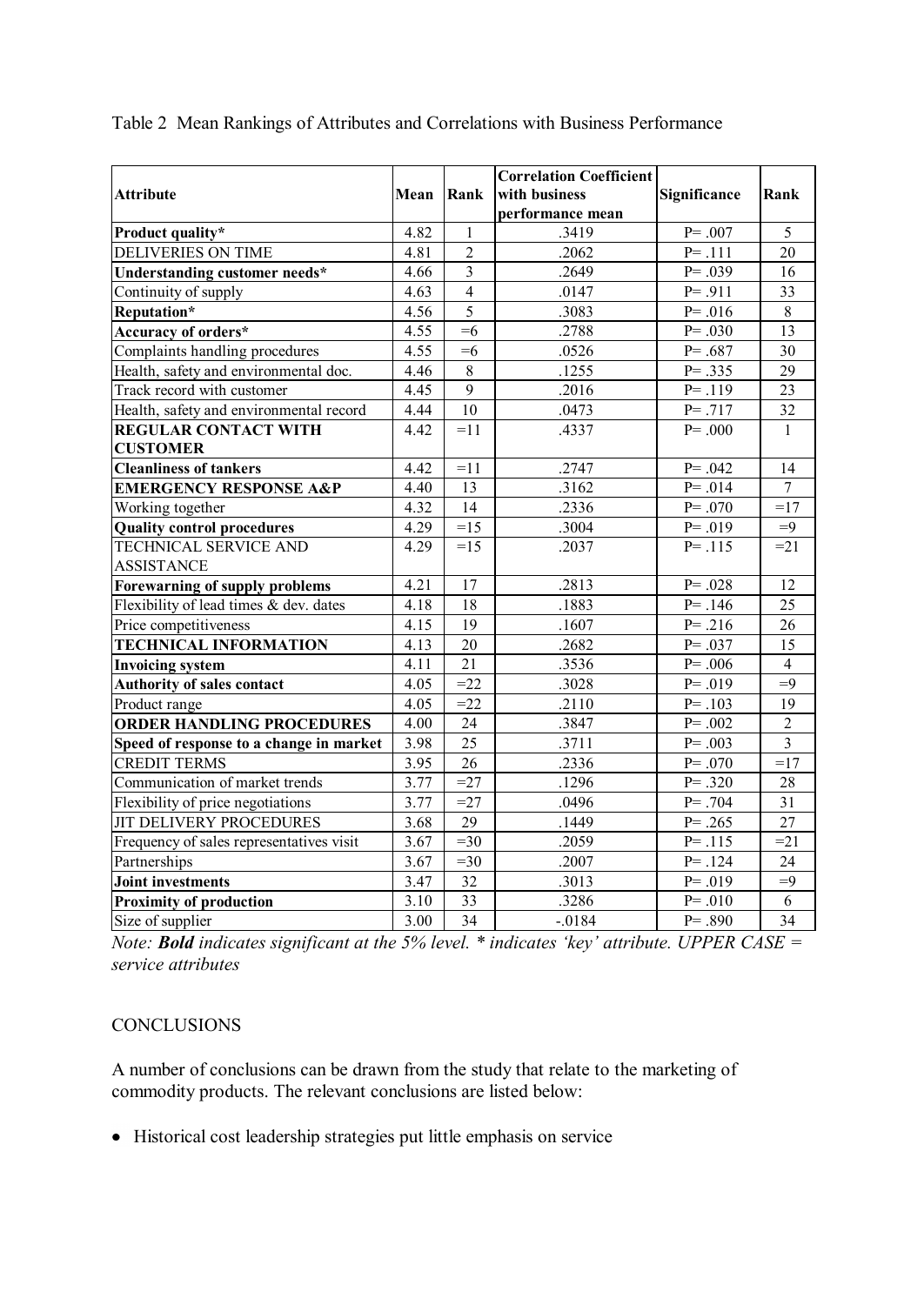| <b>Attribute</b>                         |      | Rank           | <b>Correlation Coefficient</b> |              |                |
|------------------------------------------|------|----------------|--------------------------------|--------------|----------------|
|                                          |      |                | with business                  | Significance | Rank           |
|                                          | Mean |                | performance mean               |              |                |
| Product quality*                         | 4.82 | $\mathbf{1}$   | .3419                          | $P = .007$   | 5              |
| <b>DELIVERIES ON TIME</b>                | 4.81 | $\overline{2}$ | .2062                          | $P = .111$   | 20             |
| Understanding customer needs*            | 4.66 | 3              | .2649                          | $P = .039$   | 16             |
| Continuity of supply                     | 4.63 | $\overline{4}$ | .0147                          | $P = .911$   | 33             |
| Reputation*                              | 4.56 | 5              | .3083                          | $P = .016$   | $\,8\,$        |
| Accuracy of orders*                      | 4.55 | $=6$           | .2788                          | $P = .030$   | 13             |
| Complaints handling procedures           | 4.55 | $=6$           | .0526                          | $P = .687$   | 30             |
| Health, safety and environmental doc.    | 4.46 | $\,8\,$        | .1255                          | $P = .335$   | 29             |
| Track record with customer               | 4.45 | 9              | .2016                          | $P = .119$   | 23             |
| Health, safety and environmental record  | 4.44 | 10             | .0473                          | $P = .717$   | 32             |
| <b>REGULAR CONTACT WITH</b>              | 4.42 | $=11$          | .4337                          | $P = .000$   | 1              |
| <b>CUSTOMER</b>                          |      |                |                                |              |                |
| <b>Cleanliness of tankers</b>            | 4.42 | $=11$          | .2747                          | $P = .042$   | 14             |
| <b>EMERGENCY RESPONSE A&amp;P</b>        | 4.40 | 13             | .3162                          | $P = .014$   | $\overline{7}$ |
| Working together                         | 4.32 | 14             | .2336                          | $P = .070$   | $=17$          |
| <b>Quality control procedures</b>        | 4.29 | $=15$          | .3004                          | $P = .019$   | $=9$           |
| <b>TECHNICAL SERVICE AND</b>             | 4.29 | $=15$          | .2037                          | $P = .115$   | $=21$          |
| <b>ASSISTANCE</b>                        |      |                |                                |              |                |
| Forewarning of supply problems           | 4.21 | 17             | .2813                          | $P = .028$   | 12             |
| Flexibility of lead times & dev. dates   | 4.18 | 18             | .1883                          | $P = .146$   | 25             |
| Price competitiveness                    | 4.15 | 19             | .1607                          | $P = .216$   | 26             |
| <b>TECHNICAL INFORMATION</b>             | 4.13 | 20             | .2682                          | $P = .037$   | 15             |
| <b>Invoicing system</b>                  | 4.11 | 21             | .3536                          | $P = .006$   | $\overline{4}$ |
| <b>Authority of sales contact</b>        | 4.05 | $=22$          | .3028                          | $P = .019$   | $=9$           |
| Product range                            | 4.05 | $=22$          | .2110                          | $P = .103$   | 19             |
| <b>ORDER HANDLING PROCEDURES</b>         | 4.00 | 24             | .3847                          | $P = .002$   | $\overline{2}$ |
| Speed of response to a change in market  | 3.98 | 25             | .3711                          | $P = .003$   | $\overline{3}$ |
| <b>CREDIT TERMS</b>                      | 3.95 | 26             | .2336                          | $P = .070$   | $=17$          |
| Communication of market trends           | 3.77 | $=27$          | .1296                          | $P = .320$   | 28             |
| Flexibility of price negotiations        | 3.77 | $=27$          | .0496                          | $P = .704$   | 31             |
| JIT DELIVERY PROCEDURES                  | 3.68 | 29             | .1449                          | $P = .265$   | 27             |
| Frequency of sales representatives visit | 3.67 | $=30$          | .2059                          | $P = .115$   | $=21$          |
| Partnerships                             | 3.67 | $=30$          | .2007                          | $P = .124$   | 24             |
| <b>Joint investments</b>                 |      | 32             | .3013                          | $P = .019$   | $=9$           |
| <b>Proximity of production</b>           | 3.10 | 33             | .3286                          | $P = .010$   | 6              |
| Size of supplier                         | 3.00 | 34             | $-.0184$                       | $P = .890$   | 34             |

Table 2 Mean Rankings of Attributes and Correlations with Business Performance

*Note: Bold indicates significant at the 5% level. \* indicates 'key' attribute. UPPER CASE = service attributes*

#### **CONCLUSIONS**

A number of conclusions can be drawn from the study that relate to the marketing of commodity products. The relevant conclusions are listed below:

Historical cost leadership strategies put little emphasis on service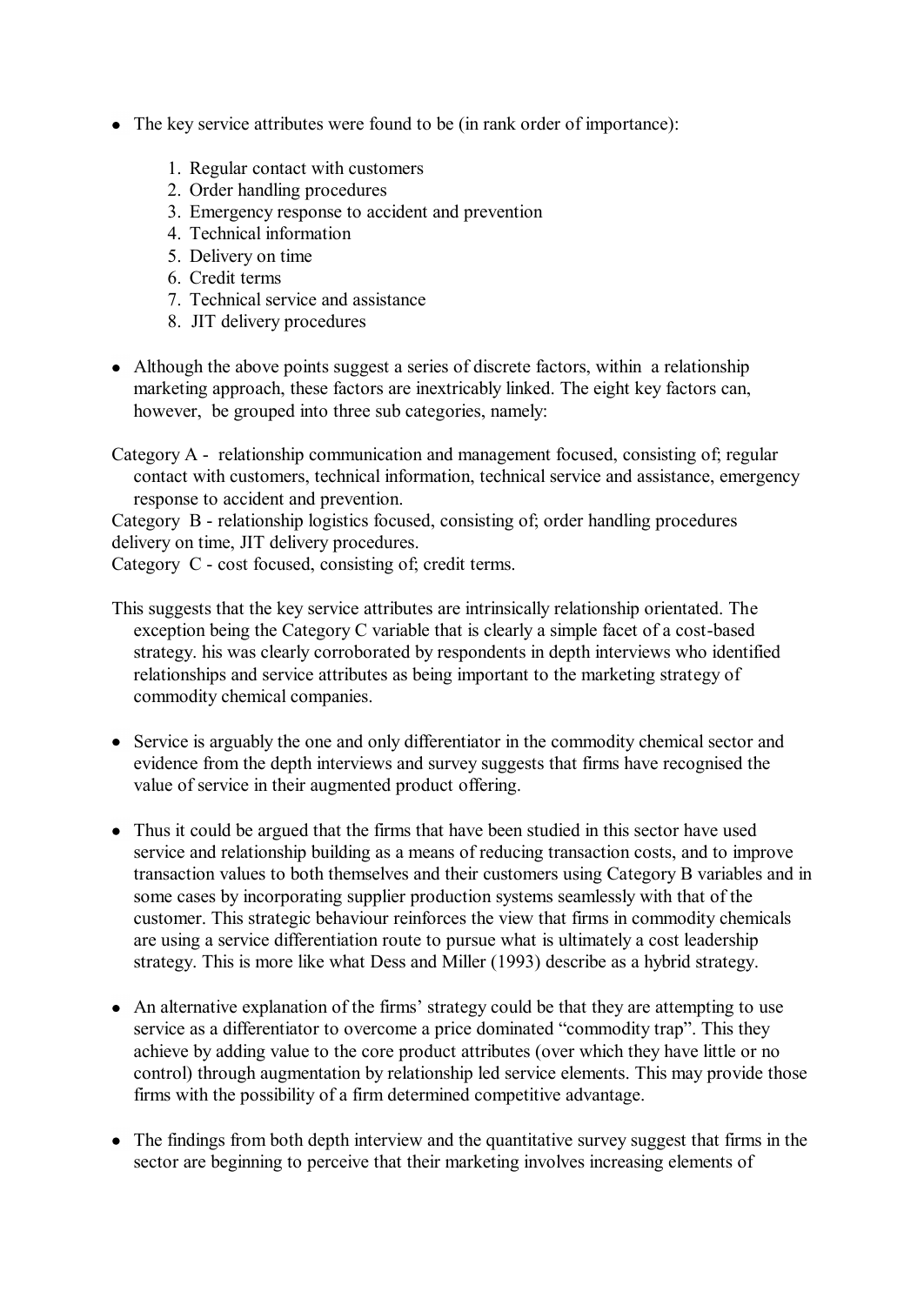- The key service attributes were found to be (in rank order of importance):
	- 1. Regular contact with customers
	- 2. Order handling procedures
	- 3. Emergency response to accident and prevention
	- 4. Technical information
	- 5. Delivery on time
	- 6. Credit terms
	- 7. Technical service and assistance
	- 8. JIT delivery procedures
- Although the above points suggest a series of discrete factors, within a relationship marketing approach, these factors are inextricably linked. The eight key factors can, however, be grouped into three sub categories, namely:
- Category A relationship communication and management focused, consisting of; regular contact with customers, technical information, technical service and assistance, emergency response to accident and prevention.

Category B - relationship logistics focused, consisting of; order handling procedures delivery on time, JIT delivery procedures.

Category C - cost focused, consisting of; credit terms.

- This suggests that the key service attributes are intrinsically relationship orientated. The exception being the Category C variable that is clearly a simple facet of a cost-based strategy. his was clearly corroborated by respondents in depth interviews who identified relationships and service attributes as being important to the marketing strategy of commodity chemical companies.
- Service is arguably the one and only differentiator in the commodity chemical sector and evidence from the depth interviews and survey suggests that firms have recognised the value of service in their augmented product offering.
- Thus it could be argued that the firms that have been studied in this sector have used service and relationship building as a means of reducing transaction costs, and to improve transaction values to both themselves and their customers using Category B variables and in some cases by incorporating supplier production systems seamlessly with that of the customer. This strategic behaviour reinforces the view that firms in commodity chemicals are using a service differentiation route to pursue what is ultimately a cost leadership strategy. This is more like what Dess and Miller (1993) describe as a hybrid strategy.
- An alternative explanation of the firms' strategy could be that they are attempting to use service as a differentiator to overcome a price dominated "commodity trap". This they achieve by adding value to the core product attributes (over which they have little or no control) through augmentation by relationship led service elements. This may provide those firms with the possibility of a firm determined competitive advantage.
- The findings from both depth interview and the quantitative survey suggest that firms in the sector are beginning to perceive that their marketing involves increasing elements of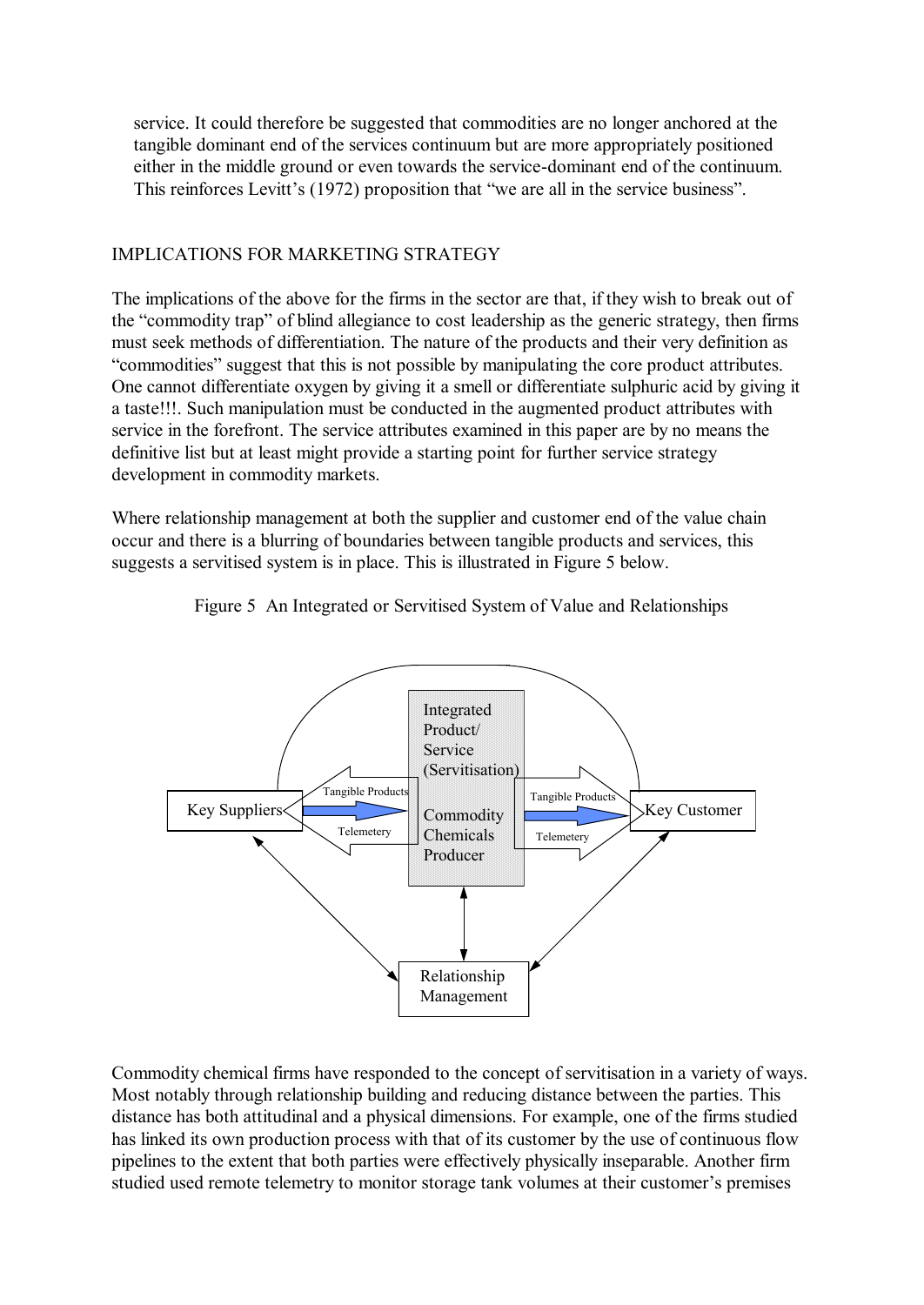service. It could therefore be suggested that commodities are no longer anchored at the tangible dominant end of the services continuum but are more appropriately positioned either in the middle ground or even towards the service-dominant end of the continuum. This reinforces Levitt's (1972) proposition that "we are all in the service business".

## IMPLICATIONS FOR MARKETING STRATEGY

The implications of the above for the firms in the sector are that, if they wish to break out of the "commodity trap" of blind allegiance to cost leadership as the generic strategy, then firms must seek methods of differentiation. The nature of the products and their very definition as "commodities" suggest that this is not possible by manipulating the core product attributes. One cannot differentiate oxygen by giving it a smell or differentiate sulphuric acid by giving it a taste!!!. Such manipulation must be conducted in the augmented product attributes with service in the forefront. The service attributes examined in this paper are by no means the definitive list but at least might provide a starting point for further service strategy development in commodity markets.

Where relationship management at both the supplier and customer end of the value chain occur and there is a blurring of boundaries between tangible products and services, this suggests a servitised system is in place. This is illustrated in Figure 5 below.



Figure 5 An Integrated or Servitised System of Value and Relationships

Commodity chemical firms have responded to the concept of servitisation in a variety of ways. Most notably through relationship building and reducing distance between the parties. This distance has both attitudinal and a physical dimensions. For example, one of the firms studied has linked its own production process with that of its customer by the use of continuous flow pipelines to the extent that both parties were effectively physically inseparable. Another firm studied used remote telemetry to monitor storage tank volumes at their customer"s premises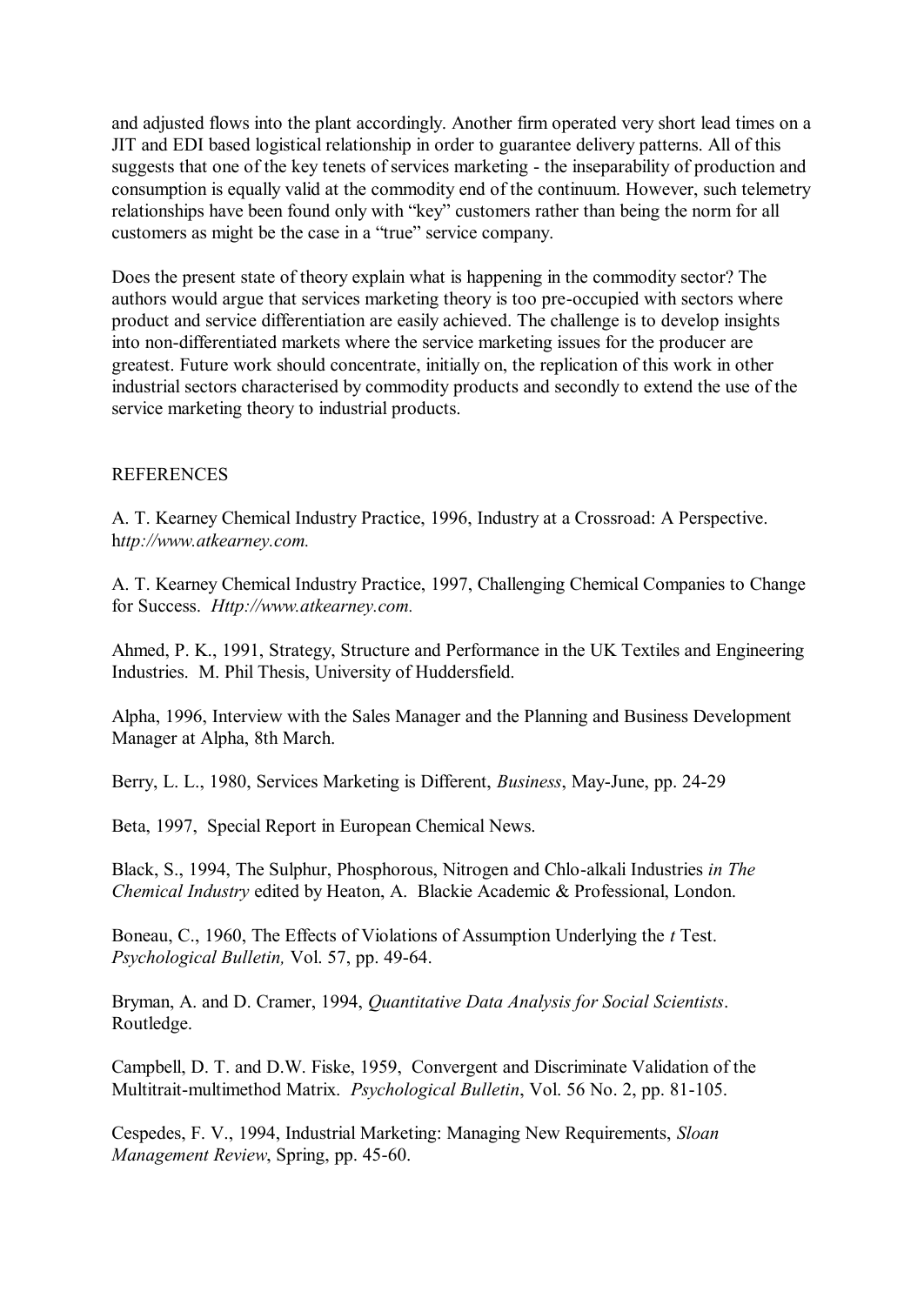and adjusted flows into the plant accordingly. Another firm operated very short lead times on a JIT and EDI based logistical relationship in order to guarantee delivery patterns. All of this suggests that one of the key tenets of services marketing - the inseparability of production and consumption is equally valid at the commodity end of the continuum. However, such telemetry relationships have been found only with "key" customers rather than being the norm for all customers as might be the case in a "true" service company.

Does the present state of theory explain what is happening in the commodity sector? The authors would argue that services marketing theory is too pre-occupied with sectors where product and service differentiation are easily achieved. The challenge is to develop insights into non-differentiated markets where the service marketing issues for the producer are greatest. Future work should concentrate, initially on, the replication of this work in other industrial sectors characterised by commodity products and secondly to extend the use of the service marketing theory to industrial products.

## REFERENCES

A. T. Kearney Chemical Industry Practice, 1996, Industry at a Crossroad: A Perspective. h*ttp://www.atkearney.com.*

A. T. Kearney Chemical Industry Practice, 1997, Challenging Chemical Companies to Change for Success. *Http://www.atkearney.com.*

Ahmed, P. K., 1991, Strategy, Structure and Performance in the UK Textiles and Engineering Industries. M. Phil Thesis, University of Huddersfield.

Alpha, 1996, Interview with the Sales Manager and the Planning and Business Development Manager at Alpha, 8th March.

Berry, L. L., 1980, Services Marketing is Different, *Business*, May-June, pp. 24-29

Beta, 1997, Special Report in European Chemical News.

Black, S., 1994, The Sulphur, Phosphorous, Nitrogen and Chlo-alkali Industries *in The Chemical Industry* edited by Heaton, A. Blackie Academic & Professional, London.

Boneau, C., 1960, The Effects of Violations of Assumption Underlying the *t* Test. *Psychological Bulletin,* Vol. 57, pp. 49-64.

Bryman, A. and D. Cramer, 1994, *Quantitative Data Analysis for Social Scientists*. Routledge.

Campbell, D. T. and D.W. Fiske, 1959, Convergent and Discriminate Validation of the Multitrait-multimethod Matrix. *Psychological Bulletin*, Vol. 56 No. 2, pp. 81-105.

Cespedes, F. V., 1994, Industrial Marketing: Managing New Requirements, *Sloan Management Review*, Spring, pp. 45-60.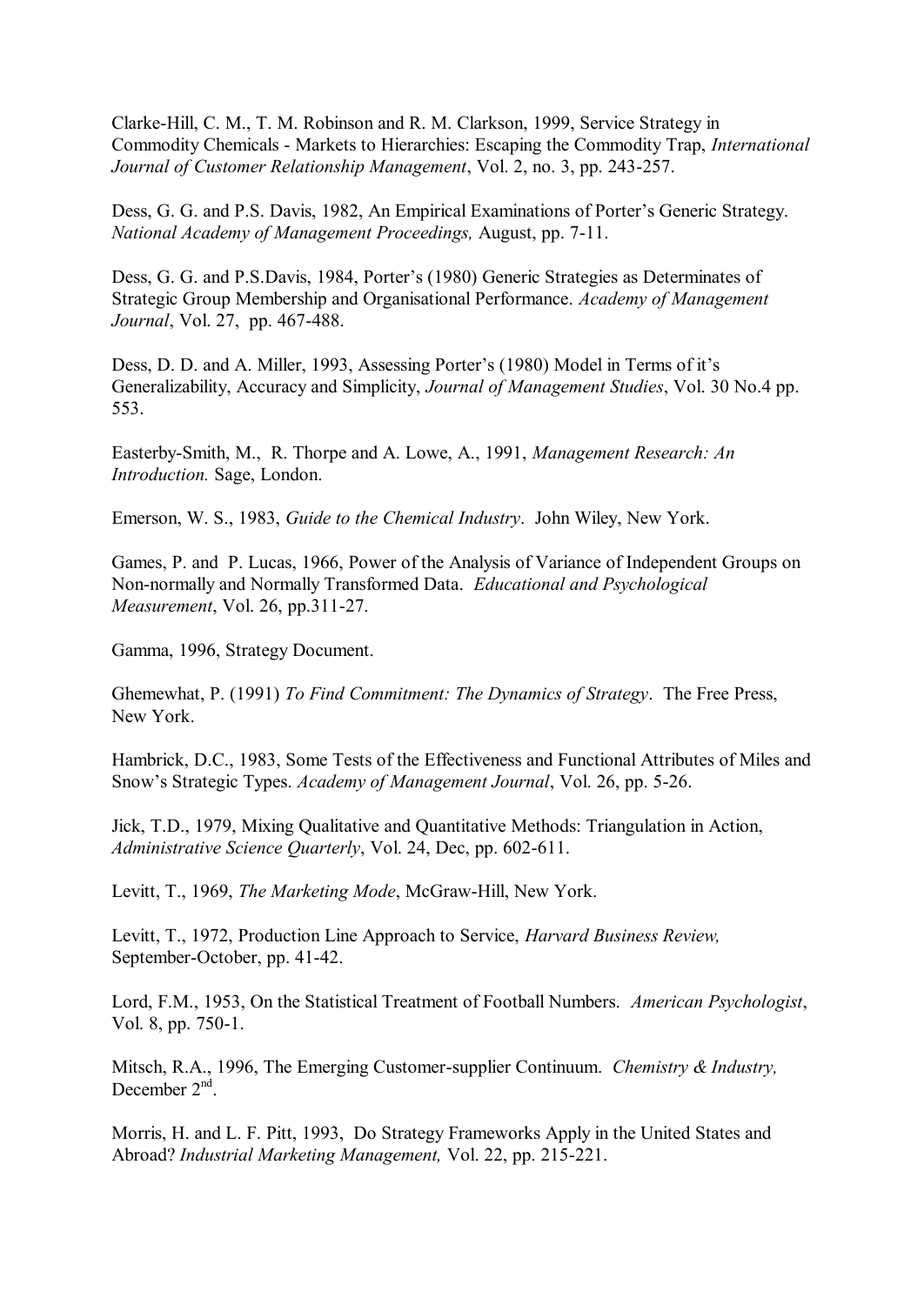Clarke-Hill, C. M., T. M. Robinson and R. M. Clarkson, 1999, Service Strategy in Commodity Chemicals - Markets to Hierarchies: Escaping the Commodity Trap, *International Journal of Customer Relationship Management*, Vol. 2, no. 3, pp. 243-257.

Dess, G. G. and P.S. Davis, 1982, An Empirical Examinations of Porter's Generic Strategy. *National Academy of Management Proceedings,* August, pp. 7-11.

Dess, G. G. and P.S.Davis, 1984, Porter's (1980) Generic Strategies as Determinates of Strategic Group Membership and Organisational Performance. *Academy of Management Journal*, Vol. 27, pp. 467-488.

Dess, D. D. and A. Miller, 1993, Assessing Porter's (1980) Model in Terms of it's Generalizability, Accuracy and Simplicity, *Journal of Management Studies*, Vol. 30 No.4 pp. 553.

Easterby-Smith, M., R. Thorpe and A. Lowe, A., 1991, *Management Research: An Introduction.* Sage, London.

Emerson, W. S., 1983, *Guide to the Chemical Industry*. John Wiley, New York.

Games, P. and P. Lucas, 1966, Power of the Analysis of Variance of Independent Groups on Non-normally and Normally Transformed Data. *Educational and Psychological Measurement*, Vol. 26, pp.311-27.

Gamma, 1996, Strategy Document.

Ghemewhat, P. (1991) *To Find Commitment: The Dynamics of Strategy*. The Free Press, New York.

Hambrick, D.C., 1983, Some Tests of the Effectiveness and Functional Attributes of Miles and Snow"s Strategic Types. *Academy of Management Journal*, Vol. 26, pp. 5-26.

Jick, T.D., 1979, Mixing Qualitative and Quantitative Methods: Triangulation in Action, *Administrative Science Quarterly*, Vol. 24, Dec, pp. 602-611.

Levitt, T., 1969, *The Marketing Mode*, McGraw-Hill, New York.

Levitt, T., 1972, Production Line Approach to Service, *Harvard Business Review,*  September-October, pp. 41-42.

Lord, F.M., 1953, On the Statistical Treatment of Football Numbers. *American Psychologist*, Vol. 8, pp. 750-1.

Mitsch, R.A., 1996, The Emerging Customer-supplier Continuum. *Chemistry & Industry,* December 2<sup>nd</sup>.

Morris, H. and L. F. Pitt, 1993, Do Strategy Frameworks Apply in the United States and Abroad? *Industrial Marketing Management,* Vol. 22, pp. 215-221.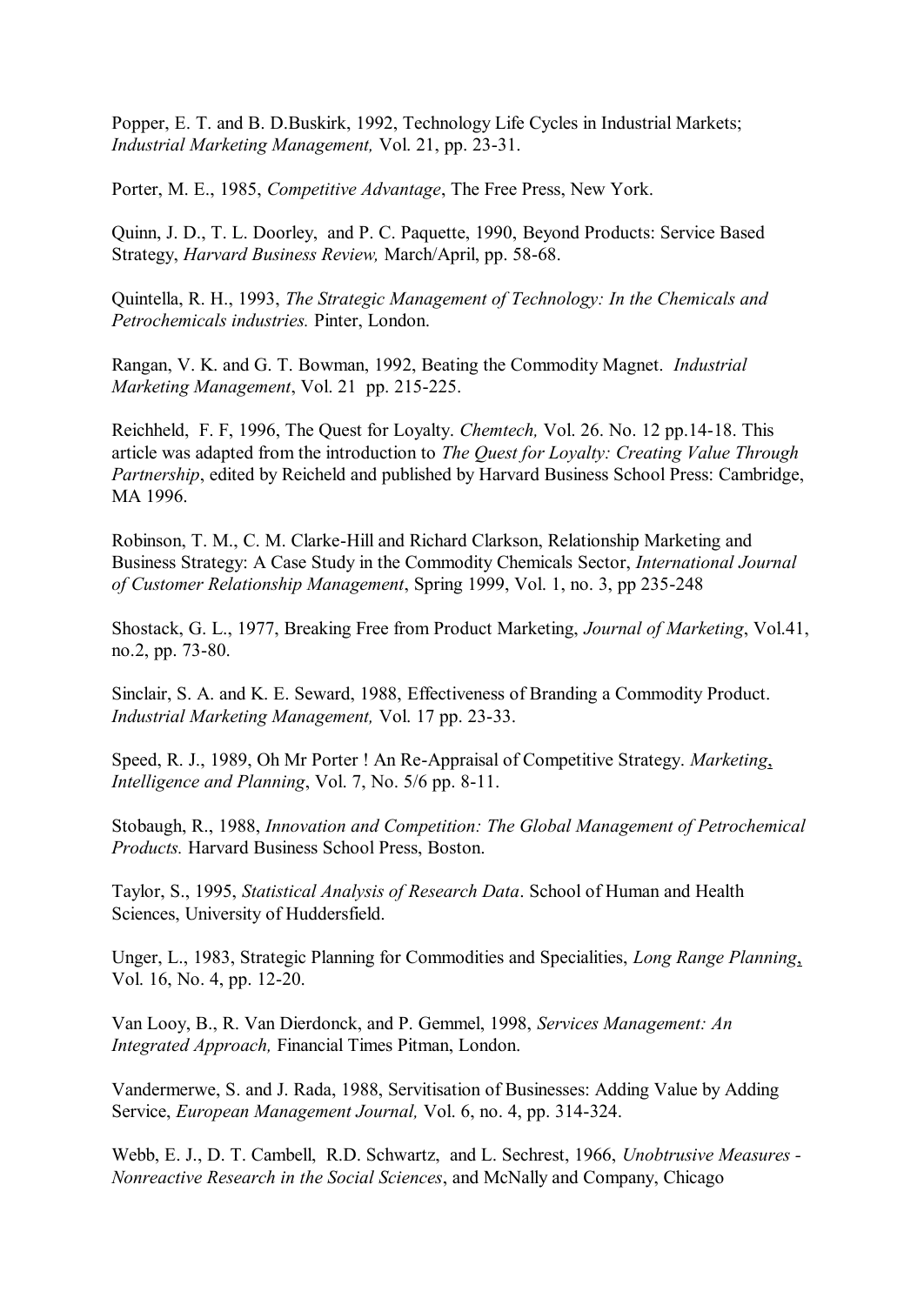Popper, E. T. and B. D.Buskirk, 1992, Technology Life Cycles in Industrial Markets; *Industrial Marketing Management,* Vol. 21, pp. 23-31.

Porter, M. E., 1985, *Competitive Advantage*, The Free Press, New York.

Quinn, J. D., T. L. Doorley, and P. C. Paquette, 1990, Beyond Products: Service Based Strategy, *Harvard Business Review,* March/April, pp. 58-68.

Quintella, R. H., 1993, *The Strategic Management of Technology: In the Chemicals and Petrochemicals industries.* Pinter, London.

Rangan, V. K. and G. T. Bowman, 1992, Beating the Commodity Magnet. *Industrial Marketing Management*, Vol. 21 pp. 215-225.

Reichheld, F. F, 1996, The Quest for Loyalty. *Chemtech,* Vol. 26. No. 12 pp.14-18. This article was adapted from the introduction to *The Quest for Loyalty: Creating Value Through Partnership*, edited by Reicheld and published by Harvard Business School Press: Cambridge, MA 1996.

Robinson, T. M., C. M. Clarke-Hill and Richard Clarkson, Relationship Marketing and Business Strategy: A Case Study in the Commodity Chemicals Sector, *International Journal of Customer Relationship Management*, Spring 1999, Vol. 1, no. 3, pp 235-248

Shostack, G. L., 1977, Breaking Free from Product Marketing, *Journal of Marketing*, Vol.41, no.2, pp. 73-80.

Sinclair, S. A. and K. E. Seward, 1988, Effectiveness of Branding a Commodity Product. *Industrial Marketing Management,* Vol. 17 pp. 23-33.

Speed, R. J., 1989, Oh Mr Porter ! An Re-Appraisal of Competitive Strategy. *Marketing*, *Intelligence and Planning*, Vol. 7, No. 5/6 pp. 8-11.

Stobaugh, R., 1988, *Innovation and Competition: The Global Management of Petrochemical Products.* Harvard Business School Press, Boston.

Taylor, S., 1995, *Statistical Analysis of Research Data*. School of Human and Health Sciences, University of Huddersfield.

Unger, L., 1983, Strategic Planning for Commodities and Specialities, *Long Range Planning*, Vol. 16, No. 4, pp. 12-20.

Van Looy, B., R. Van Dierdonck, and P. Gemmel, 1998, *Services Management: An Integrated Approach,* Financial Times Pitman, London.

Vandermerwe, S. and J. Rada, 1988, Servitisation of Businesses: Adding Value by Adding Service, *European Management Journal,* Vol. 6, no. 4, pp. 314-324.

Webb, E. J., D. T. Cambell, R.D. Schwartz, and L. Sechrest, 1966, *Unobtrusive Measures - Nonreactive Research in the Social Sciences*, and McNally and Company, Chicago